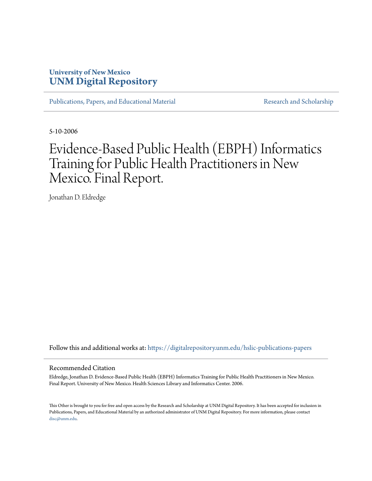## **University of New Mexico [UNM Digital Repository](https://digitalrepository.unm.edu?utm_source=digitalrepository.unm.edu%2Fhslic-publications-papers%2F28&utm_medium=PDF&utm_campaign=PDFCoverPages)**

[Publications, Papers, and Educational Material](https://digitalrepository.unm.edu/hslic-publications-papers?utm_source=digitalrepository.unm.edu%2Fhslic-publications-papers%2F28&utm_medium=PDF&utm_campaign=PDFCoverPages) [Research and Scholarship](https://digitalrepository.unm.edu/hslic-research-scholarship?utm_source=digitalrepository.unm.edu%2Fhslic-publications-papers%2F28&utm_medium=PDF&utm_campaign=PDFCoverPages)

5-10-2006

# Evidence-Based Public Health (EBPH) Informatics Training for Public Health Practitioners in New Mexico. Final Report.

Jonathan D. Eldredge

Follow this and additional works at: [https://digitalrepository.unm.edu/hslic-publications-papers](https://digitalrepository.unm.edu/hslic-publications-papers?utm_source=digitalrepository.unm.edu%2Fhslic-publications-papers%2F28&utm_medium=PDF&utm_campaign=PDFCoverPages)

#### Recommended Citation

Eldredge, Jonathan D. Evidence-Based Public Health (EBPH) Informatics Training for Public Health Practitioners in New Mexico. Final Report. University of New Mexico. Health Sciences Library and Informatics Center. 2006.

This Other is brought to you for free and open access by the Research and Scholarship at UNM Digital Repository. It has been accepted for inclusion in Publications, Papers, and Educational Material by an authorized administrator of UNM Digital Repository. For more information, please contact [disc@unm.edu](mailto:disc@unm.edu).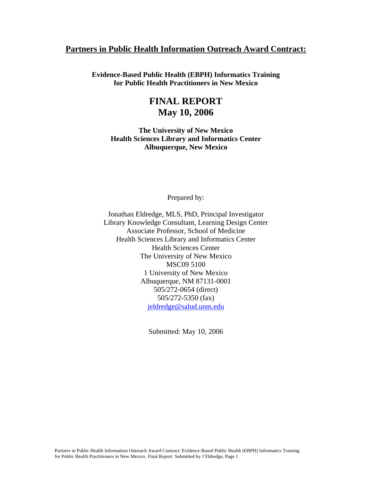### **Partners in Public Health Information Outreach Award Contract:**

**Evidence-Based Public Health (EBPH) Informatics Training for Public Health Practitioners in New Mexico** 

## **FINAL REPORT May 10, 2006**

**The University of New Mexico Health Sciences Library and Informatics Center Albuquerque, New Mexico** 

Prepared by:

Jonathan Eldredge, MLS, PhD, Principal Investigator Library Knowledge Consultant, Learning Design Center Associate Professor, School of Medicine Health Sciences Library and Informatics Center Health Sciences Center The University of New Mexico MSC09 5100 1 University of New Mexico Albuquerque, NM 87131-0001 505/272-0654 (direct) 505/272-5350 (fax) jeldredge@salud.unm.edu

Submitted: May 10, 2006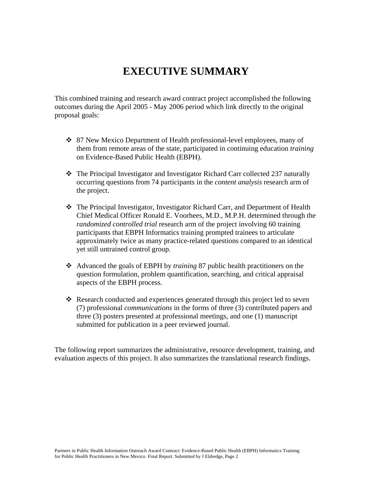## **EXECUTIVE SUMMARY**

This combined training and research award contract project accomplished the following outcomes during the April 2005 - May 2006 period which link directly to the original proposal goals:

- 87 New Mexico Department of Health professional-level employees, many of them from remote areas of the state, participated in continuing education *training* on Evidence-Based Public Health (EBPH).
- The Principal Investigator and Investigator Richard Carr collected 237 naturally occurring questions from 74 participants in the *content analysis* research arm of the project.
- The Principal Investigator, Investigator Richard Carr, and Department of Health Chief Medical Officer Ronald E. Voorhees, M.D., M.P.H. determined through the *randomized controlled trial* research arm of the project involving 60 training participants that EBPH Informatics training prompted trainees to articulate approximately twice as many practice-related questions compared to an identical yet still untrained control group.
- Advanced the goals of EBPH by *training* 87 public health practitioners on the question formulation, problem quantification, searching, and critical appraisal aspects of the EBPH process.
- $\triangle$  Research conducted and experiences generated through this project led to seven (7) professional *communications* in the forms of three (3) contributed papers and three (3) posters presented at professional meetings, and one (1) manuscript submitted for publication in a peer reviewed journal.

The following report summarizes the administrative, resource development, training, and evaluation aspects of this project. It also summarizes the translational research findings.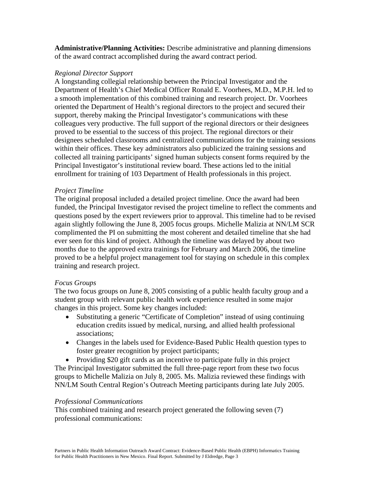**Administrative/Planning Activities:** Describe administrative and planning dimensions of the award contract accomplished during the award contract period.

#### *Regional Director Support*

A longstanding collegial relationship between the Principal Investigator and the Department of Health's Chief Medical Officer Ronald E. Voorhees, M.D., M.P.H. led to a smooth implementation of this combined training and research project. Dr. Voorhees oriented the Department of Health's regional directors to the project and secured their support, thereby making the Principal Investigator's communications with these colleagues very productive. The full support of the regional directors or their designees proved to be essential to the success of this project. The regional directors or their designees scheduled classrooms and centralized communications for the training sessions within their offices. These key administrators also publicized the training sessions and collected all training participants' signed human subjects consent forms required by the Principal Investigator's institutional review board. These actions led to the initial enrollment for training of 103 Department of Health professionals in this project.

#### *Project Timeline*

The original proposal included a detailed project timeline. Once the award had been funded, the Principal Investigator revised the project timeline to reflect the comments and questions posed by the expert reviewers prior to approval. This timeline had to be revised again slightly following the June 8, 2005 focus groups. Michelle Malizia at NN/LM SCR complimented the PI on submitting the most coherent and detailed timeline that she had ever seen for this kind of project. Although the timeline was delayed by about two months due to the approved extra trainings for February and March 2006, the timeline proved to be a helpful project management tool for staying on schedule in this complex training and research project.

#### *Focus Groups*

The two focus groups on June 8, 2005 consisting of a public health faculty group and a student group with relevant public health work experience resulted in some major changes in this project. Some key changes included:

- Substituting a generic "Certificate of Completion" instead of using continuing education credits issued by medical, nursing, and allied health professional associations;
- Changes in the labels used for Evidence-Based Public Health question types to foster greater recognition by project participants;

• Providing \$20 gift cards as an incentive to participate fully in this project The Principal Investigator submitted the full three-page report from these two focus groups to Michelle Malizia on July 8, 2005. Ms. Malizia reviewed these findings with NN/LM South Central Region's Outreach Meeting participants during late July 2005.

#### *Professional Communications*

This combined training and research project generated the following seven (7) professional communications: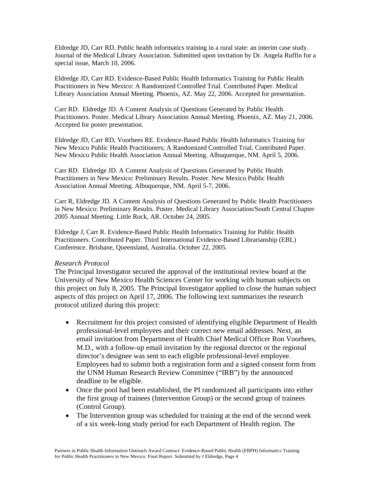Eldredge JD, Carr RD. Public health informatics training in a rural state: an interim case study. Journal of the Medical Library Association. Submitted upon invitation by Dr. Angela Ruffin for a special issue, March 10, 2006.

Eldredge JD, Carr RD. Evidence-Based Public Health Informatics Training for Public Health Practitioners in New Mexico: A Randomized Controlled Trial. Contributed Paper. Medical Library Association Annual Meeting. Phoenix, AZ. May 22, 2006. Accepted for presentation.

Carr RD. Eldredge JD. A Content Analysis of Questions Generated by Public Health Practitioners. Poster. Medical Library Association Annual Meeting. Phoenix, AZ. May 21, 2006. Accepted for poster presentation.

Eldredge JD, Carr RD, Voorhees RE. Evidence-Based Public Health Informatics Training for New Mexico Public Health Practitioners; A Randomized Controlled Trial. Contributed Paper. New Mexico Public Health Association Annual Meeting. Albuquerque, NM. April 5, 2006.

Carr RD. Eldredge JD. A Content Analysis of Questions Generated by Public Health Practitioners in New Mexico: Preliminary Results. Poster. New Mexico Public Health Association Annual Meeting. Albuquerque, NM. April 5-7, 2006.

Carr R, Eldredge JD. A Content Analysis of Questions Generated by Public Health Practitioners in New Mexico: Preliminary Results. Poster. Medical Library Association/South Central Chapter 2005 Annual Meeting. Little Rock, AR. October 24, 2005.

Eldredge J, Carr R. Evidence-Based Public Health Informatics Training for Public Health Practitioners. Contributed Paper. Third International Evidence-Based Librarianship (EBL) Conference. Brisbane, Queensland, Australia. October 22, 2005.

#### *Research Protocol*

The Principal Investigator secured the approval of the institutional review board at the University of New Mexico Health Sciences Center for working with human subjects on this project on July 8, 2005. The Principal Investigator applied to close the human subject aspects of this project on April 17, 2006. The following text summarizes the research protocol utilized during this project:

- Recruitment for this project consisted of identifying eligible Department of Health professional-level employees and their correct new email addresses. Next, an email invitation from Department of Health Chief Medical Officer Ron Voorhees, M.D., with a follow-up email invitation by the regional director or the regional director's designee was sent to each eligible professional-level employee. Employees had to submit both a registration form and a signed consent form from the UNM Human Research Review Committee ("IRB") by the announced deadline to be eligible.
- Once the pool had been established, the PI randomized all participants into either the first group of trainees (Intervention Group) or the second group of trainees (Control Group).
- The Intervention group was scheduled for training at the end of the second week of a six week-long study period for each Department of Health region. The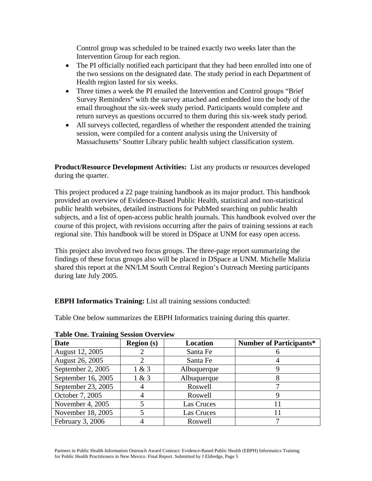Control group was scheduled to be trained exactly two weeks later than the Intervention Group for each region.

- The PI officially notified each participant that they had been enrolled into one of the two sessions on the designated date. The study period in each Department of Health region lasted for six weeks.
- Three times a week the PI emailed the Intervention and Control groups "Brief" Survey Reminders" with the survey attached and embedded into the body of the email throughout the six-week study period. Participants would complete and return surveys as questions occurred to them during this six-week study period.
- All surveys collected, regardless of whether the respondent attended the training session, were compiled for a content analysis using the University of Massachusetts' Soutter Library public health subject classification system.

**Product/Resource Development Activities:** List any products or resources developed during the quarter.

This project produced a 22 page training handbook as its major product. This handbook provided an overview of Evidence-Based Public Health, statistical and non-statistical public health websites, detailed instructions for PubMed searching on public health subjects, and a list of open-access public health journals. This handbook evolved over the course of this project, with revisions occurring after the pairs of training sessions at each regional site. This handbook will be stored in DSpace at UNM for easy open access.

This project also involved two focus groups. The three-page report summarizing the findings of these focus groups also will be placed in DSpace at UNM. Michelle Malizia shared this report at the NN/LM South Central Region's Outreach Meeting participants during late July 2005.

**EBPH Informatics Training:** List all training sessions conducted:

Table One below summarizes the EBPH Informatics training during this quarter.

| $1.0010$ $0.0001$ $1.00000$ $0.0000$ $0.0000$ $0.0000$ |                   |                 |                                |  |  |  |  |  |  |
|--------------------------------------------------------|-------------------|-----------------|--------------------------------|--|--|--|--|--|--|
| <b>Date</b>                                            | <b>Region</b> (s) | <b>Location</b> | <b>Number of Participants*</b> |  |  |  |  |  |  |
| August 12, 2005                                        |                   | Santa Fe        |                                |  |  |  |  |  |  |
| August 26, 2005                                        |                   | Santa Fe        |                                |  |  |  |  |  |  |
| September 2, 2005                                      | 1 & 3             | Albuquerque     |                                |  |  |  |  |  |  |
| September 16, 2005                                     | 1 & 3             | Albuquerque     |                                |  |  |  |  |  |  |
| September 23, 2005                                     |                   | Roswell         |                                |  |  |  |  |  |  |
| October 7, 2005                                        |                   | Roswell         |                                |  |  |  |  |  |  |
| November 4, 2005                                       |                   | Las Cruces      |                                |  |  |  |  |  |  |
| November 18, 2005                                      |                   | Las Cruces      |                                |  |  |  |  |  |  |
| February 3, 2006                                       |                   | Roswell         |                                |  |  |  |  |  |  |

**Table One. Training Session Overview**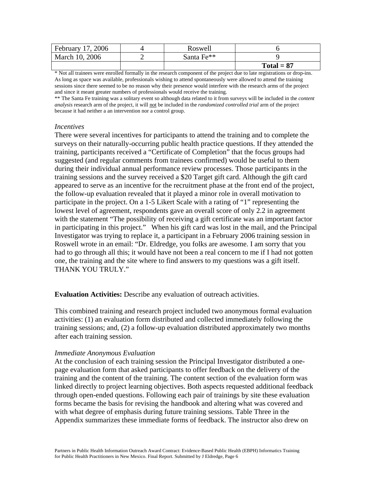| February 17, 2006 | Roswell                |              |
|-------------------|------------------------|--------------|
| March 10, 2006    | Santa Fe <sup>**</sup> |              |
|                   |                        | $Total = 87$ |

\* Not all trainees were enrolled formally in the research component of the project due to late registrations or drop-ins. As long as space was available, professionals wishing to attend spontaneously were allowed to attend the training sessions since there seemed to be no reason why their presence would interfere with the research arms of the project and since it meant greater numbers of professionals would receive the training.

\*\* The Santa Fe training was a solitary event so although data related to it from surveys will be included in the *content analysis* research arm of the project, it will not be included in the *randomized controlled trial* arm of the project because it had neither a an intervention nor a control group.

#### *Incentives*

There were several incentives for participants to attend the training and to complete the surveys on their naturally-occurring public health practice questions. If they attended the training, participants received a "Certificate of Completion" that the focus groups had suggested (and regular comments from trainees confirmed) would be useful to them during their individual annual performance review processes. Those participants in the training sessions and the survey received a \$20 Target gift card. Although the gift card appeared to serve as an incentive for the recruitment phase at the front end of the project, the follow-up evaluation revealed that it played a minor role in overall motivation to participate in the project. On a 1-5 Likert Scale with a rating of "1" representing the lowest level of agreement, respondents gave an overall score of only 2.2 in agreement with the statement "The possibility of receiving a gift certificate was an important factor in participating in this project." When his gift card was lost in the mail, and the Principal Investigator was trying to replace it, a participant in a February 2006 training session in Roswell wrote in an email: "Dr. Eldredge, you folks are awesome. I am sorry that you had to go through all this; it would have not been a real concern to me if I had not gotten one, the training and the site where to find answers to my questions was a gift itself. THANK YOU TRULY."

#### **Evaluation Activities:** Describe any evaluation of outreach activities.

This combined training and research project included two anonymous formal evaluation activities: (1) an evaluation form distributed and collected immediately following the training sessions; and, (2) a follow-up evaluation distributed approximately two months after each training session.

#### *Immediate Anonymous Evaluation*

At the conclusion of each training session the Principal Investigator distributed a onepage evaluation form that asked participants to offer feedback on the delivery of the training and the content of the training. The content section of the evaluation form was linked directly to project learning objectives. Both aspects requested additional feedback through open-ended questions. Following each pair of trainings by site these evaluation forms became the basis for revising the handbook and altering what was covered and with what degree of emphasis during future training sessions. Table Three in the Appendix summarizes these immediate forms of feedback. The instructor also drew on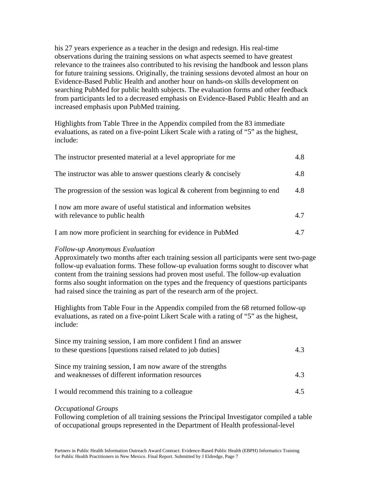his 27 years experience as a teacher in the design and redesign. His real-time observations during the training sessions on what aspects seemed to have greatest relevance to the trainees also contributed to his revising the handbook and lesson plans for future training sessions. Originally, the training sessions devoted almost an hour on Evidence-Based Public Health and another hour on hands-on skills development on searching PubMed for public health subjects. The evaluation forms and other feedback from participants led to a decreased emphasis on Evidence-Based Public Health and an increased emphasis upon PubMed training.

Highlights from Table Three in the Appendix compiled from the 83 immediate evaluations, as rated on a five-point Likert Scale with a rating of "5" as the highest, include:

| The instructor presented material at a level appropriate for me                                       | 4.8 |
|-------------------------------------------------------------------------------------------------------|-----|
| The instructor was able to answer questions clearly $\&$ concisely                                    | 4.8 |
| The progression of the session was logical $\&$ coherent from beginning to end                        | 4.8 |
| I now am more aware of useful statistical and information websites<br>with relevance to public health | 4.7 |
| I am now more proficient in searching for evidence in PubMed                                          | 4.7 |

#### *Follow-up Anonymous Evaluation*

Approximately two months after each training session all participants were sent two-page follow-up evaluation forms. These follow-up evaluation forms sought to discover what content from the training sessions had proven most useful. The follow-up evaluation forms also sought information on the types and the frequency of questions participants had raised since the training as part of the research arm of the project.

Highlights from Table Four in the Appendix compiled from the 68 returned follow-up evaluations, as rated on a five-point Likert Scale with a rating of "5" as the highest, include:

| Since my training session, I am more confident I find an answer<br>to these questions [questions raised related to job duties] | 43  |
|--------------------------------------------------------------------------------------------------------------------------------|-----|
| Since my training session, I am now aware of the strengths<br>and weaknesses of different information resources                | 4.3 |
| I would recommend this training to a colleague                                                                                 | 45  |

#### *Occupational Groups*

Following completion of all training sessions the Principal Investigator compiled a table of occupational groups represented in the Department of Health professional-level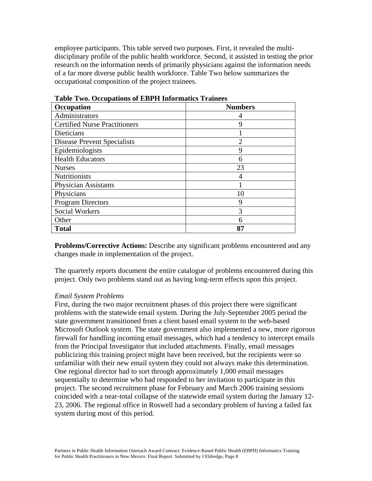employee participants. This table served two purposes. First, it revealed the multidisciplinary profile of the public health workforce. Second, it assisted in testing the prior research on the information needs of primarily physicians against the information needs of a far more diverse public health workforce. Table Two below summarizes the occupational composition of the project trainees.

| Occupation                           | <b>Numbers</b> |
|--------------------------------------|----------------|
| Administrators                       |                |
| <b>Certified Nurse Practitioners</b> | 9              |
| Dieticians                           |                |
| <b>Disease Prevent Specialists</b>   | $\overline{2}$ |
| Epidemiologists                      | 9              |
| <b>Health Educators</b>              | 6              |
| <b>Nurses</b>                        | 23             |
| <b>Nutritionists</b>                 |                |
| <b>Physician Assistants</b>          |                |
| Physicians                           | 10             |
| <b>Program Directors</b>             | 9              |
| <b>Social Workers</b>                | 3              |
| Other                                | 6              |
| <b>Total</b>                         | 87             |

**Table Two. Occupations of EBPH Informatics Trainees** 

**Problems/Corrective Actions:** Describe any significant problems encountered and any changes made in implementation of the project.

The quarterly reports document the entire catalogue of problems encountered during this project. Only two problems stand out as having long-term effects upon this project.

#### *Email System Problems*

First, during the two major recruitment phases of this project there were significant problems with the statewide email system. During the July-September 2005 period the state government transitioned from a client based email system to the web-based Microsoft Outlook system. The state government also implemented a new, more rigorous firewall for handling incoming email messages, which had a tendency to intercept emails from the Principal Investigator that included attachments. Finally, email messages publicizing this training project might have been received, but the recipients were so unfamiliar with their new email system they could not always make this determination. One regional director had to sort through approximately 1,000 email messages sequentially to determine who had responded to her invitation to participate in this project. The second recruitment phase for February and March 2006 training sessions coincided with a near-total collapse of the statewide email system during the January 12- 23, 2006. The regional office in Roswell had a secondary problem of having a failed fax system during most of this period.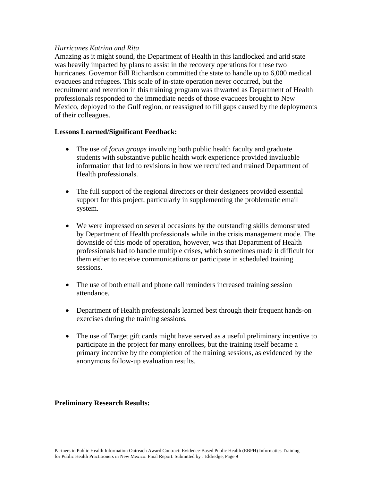#### *Hurricanes Katrina and Rita*

Amazing as it might sound, the Department of Health in this landlocked and arid state was heavily impacted by plans to assist in the recovery operations for these two hurricanes. Governor Bill Richardson committed the state to handle up to 6,000 medical evacuees and refugees. This scale of in-state operation never occurred, but the recruitment and retention in this training program was thwarted as Department of Health professionals responded to the immediate needs of those evacuees brought to New Mexico, deployed to the Gulf region, or reassigned to fill gaps caused by the deployments of their colleagues.

#### **Lessons Learned/Significant Feedback:**

- The use of *focus groups* involving both public health faculty and graduate students with substantive public health work experience provided invaluable information that led to revisions in how we recruited and trained Department of Health professionals.
- The full support of the regional directors or their designees provided essential support for this project, particularly in supplementing the problematic email system.
- We were impressed on several occasions by the outstanding skills demonstrated by Department of Health professionals while in the crisis management mode. The downside of this mode of operation, however, was that Department of Health professionals had to handle multiple crises, which sometimes made it difficult for them either to receive communications or participate in scheduled training sessions.
- The use of both email and phone call reminders increased training session attendance.
- Department of Health professionals learned best through their frequent hands-on exercises during the training sessions.
- The use of Target gift cards might have served as a useful preliminary incentive to participate in the project for many enrollees, but the training itself became a primary incentive by the completion of the training sessions, as evidenced by the anonymous follow-up evaluation results.

#### **Preliminary Research Results:**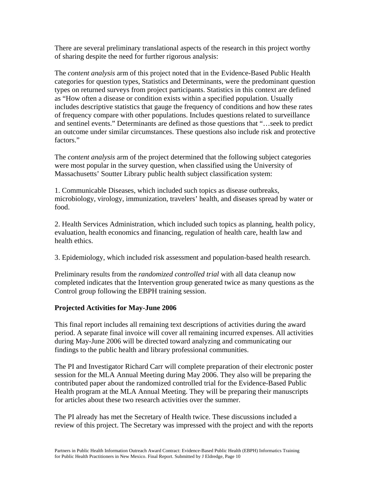There are several preliminary translational aspects of the research in this project worthy of sharing despite the need for further rigorous analysis:

The *content analysis* arm of this project noted that in the Evidence-Based Public Health categories for question types, Statistics and Determinants, were the predominant question types on returned surveys from project participants. Statistics in this context are defined as "How often a disease or condition exists within a specified population. Usually includes descriptive statistics that gauge the frequency of conditions and how these rates of frequency compare with other populations. Includes questions related to surveillance and sentinel events." Determinants are defined as those questions that "…seek to predict an outcome under similar circumstances. These questions also include risk and protective factors."

The *content analysis* arm of the project determined that the following subject categories were most popular in the survey question, when classified using the University of Massachusetts' Soutter Library public health subject classification system:

1. Communicable Diseases, which included such topics as disease outbreaks, microbiology, virology, immunization, travelers' health, and diseases spread by water or food.

2. Health Services Administration, which included such topics as planning, health policy, evaluation, health economics and financing, regulation of health care, health law and health ethics.

3. Epidemiology, which included risk assessment and population-based health research.

Preliminary results from the *randomized controlled trial* with all data cleanup now completed indicates that the Intervention group generated twice as many questions as the Control group following the EBPH training session.

#### **Projected Activities for May-June 2006**

This final report includes all remaining text descriptions of activities during the award period. A separate final invoice will cover all remaining incurred expenses. All activities during May-June 2006 will be directed toward analyzing and communicating our findings to the public health and library professional communities.

The PI and Investigator Richard Carr will complete preparation of their electronic poster session for the MLA Annual Meeting during May 2006. They also will be preparing the contributed paper about the randomized controlled trial for the Evidence-Based Public Health program at the MLA Annual Meeting. They will be preparing their manuscripts for articles about these two research activities over the summer.

The PI already has met the Secretary of Health twice. These discussions included a review of this project. The Secretary was impressed with the project and with the reports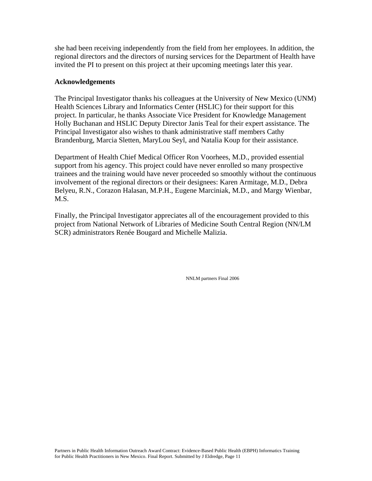she had been receiving independently from the field from her employees. In addition, the regional directors and the directors of nursing services for the Department of Health have invited the PI to present on this project at their upcoming meetings later this year.

#### **Acknowledgements**

The Principal Investigator thanks his colleagues at the University of New Mexico (UNM) Health Sciences Library and Informatics Center (HSLIC) for their support for this project. In particular, he thanks Associate Vice President for Knowledge Management Holly Buchanan and HSLIC Deputy Director Janis Teal for their expert assistance. The Principal Investigator also wishes to thank administrative staff members Cathy Brandenburg, Marcia Sletten, MaryLou Seyl, and Natalia Koup for their assistance.

Department of Health Chief Medical Officer Ron Voorhees, M.D., provided essential support from his agency. This project could have never enrolled so many prospective trainees and the training would have never proceeded so smoothly without the continuous involvement of the regional directors or their designees: Karen Armitage, M.D., Debra Belyeu, R.N., Corazon Halasan, M.P.H., Eugene Marciniak, M.D., and Margy Wienbar, M.S.

Finally, the Principal Investigator appreciates all of the encouragement provided to this project from National Network of Libraries of Medicine South Central Region (NN/LM SCR) administrators Renée Bougard and Michelle Malizia.

NNLM partners Final 2006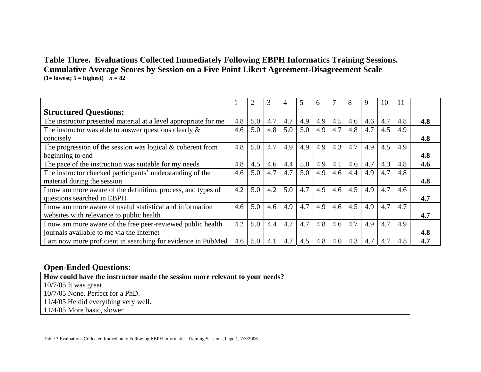### **Table Three. Evaluations Collected Immediately Following EBPH Informatics Training Sessions. Cumulative Average Scores by Session on a Five Point Likert Agreement-Disagreement Scale**  $(1=$ **lowest;**  $5=$ **highest**)  $n = 82$

|                                                                 |     | 2   | 3   | 4   | 5   | 6   |     | 8   | 9   | 10  | 11  |     |
|-----------------------------------------------------------------|-----|-----|-----|-----|-----|-----|-----|-----|-----|-----|-----|-----|
| <b>Structured Questions:</b>                                    |     |     |     |     |     |     |     |     |     |     |     |     |
| The instructor presented material at a level appropriate for me | 4.8 | 5.0 | 4.7 | 4.7 | 4.9 | 4.9 | 4.5 | 4.6 | 4.6 | 4.7 | 4.8 | 4.8 |
| The instructor was able to answer questions clearly $\&$        | 4.6 | 5.0 | 4.8 | 5.0 | 5.0 | 4.9 | 4.7 | 4.8 | 4.7 | 4.5 | 4.9 |     |
| concisely                                                       |     |     |     |     |     |     |     |     |     |     |     | 4.8 |
| The progression of the session was logical $&$ coherent from    | 4.8 | 5.0 | 4.7 | 4.9 | 4.9 | 4.9 | 4.3 | 4.7 | 4.9 | 4.5 | 4.9 |     |
| beginning to end                                                |     |     |     |     |     |     |     |     |     |     |     | 4.8 |
| The pace of the instruction was suitable for my needs           | 4.8 | 4.5 | 4.6 | 4.4 | 5.0 | 4.9 | 4.1 | 4.6 | 4.7 | 4.3 | 4.8 | 4.6 |
| The instructor checked participants' understanding of the       | 4.6 | 5.0 | 4.7 | 4.7 | 5.0 | 4.9 | 4.6 | 4.4 | 4.9 | 4.7 | 4.8 |     |
| material during the session                                     |     |     |     |     |     |     |     |     |     |     |     | 4.8 |
| I now am more aware of the definition, process, and types of    | 4.2 | 5.0 | 4.2 | 5.0 | 4.7 | 4.9 | 4.6 | 4.5 | 4.9 | 4.7 | 4.6 |     |
| questions searched in EBPH                                      |     |     |     |     |     |     |     |     |     |     |     | 4.7 |
| I now am more aware of useful statistical and information       | 4.6 | 5.0 | 4.6 | 4.9 | 4.7 | 4.9 | 4.6 | 4.5 | 4.9 | 4.7 | 4.7 |     |
| websites with relevance to public health                        |     |     |     |     |     |     |     |     |     |     |     | 4.7 |
| I now am more aware of the free peer-reviewed public health     | 4.2 | 5.0 | 4.4 | 4.7 | 4.7 | 4.8 | 4.6 | 4.7 | 4.9 | 4.7 | 4.9 |     |
| journals available to me via the Internet                       |     |     |     |     |     |     |     |     |     |     |     | 4.8 |
| I am now more proficient in searching for evidence in PubMed    | 4.6 | 5.0 | 4.1 | 4.7 | 4.5 | 4.8 | 4.0 | 4.3 | 4.7 | 4.7 | 4.8 | 4.7 |

### **Open-Ended Questions:**

**How could have the instructor made the session more relevant to your needs?**  10/7/05 It was great. 10/7/05 None. Perfect for a PhD. 11/4/05 He did everything very well. 11/4/05 More basic, slower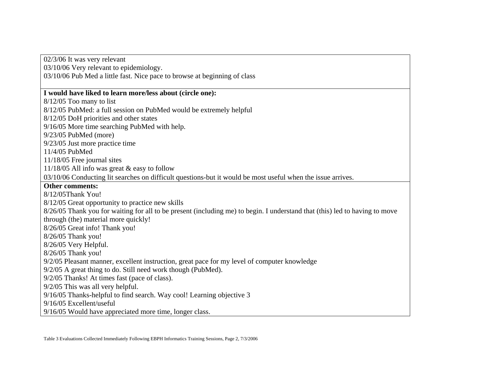02/3/06 It was very relevant 03/10/06 Very relevant to epidemiology. 03/10/06 Pub Med a little fast. Nice pace to browse at beginning of class

#### **I would have liked to learn more/less about (circle one):**

8/12/05 Too many to list

8/12/05 PubMed: a full session on PubMed would be extremely helpful

8/12/05 DoH priorities and other states

9/16/05 More time searching PubMed with help.

9/23/05 PubMed (more)

9/23/05 Just more practice time

11/4/05 PubMed

11/18/05 Free journal sites

11/18/05 All info was great & easy to follow

03/10/06 Conducting lit searches on difficult questions-but it would be most useful when the issue arrives.

#### **Other comments:**

8/12/05Thank You!

8/12/05 Great opportunity to practice new skills

8/26/05 Thank you for waiting for all to be present (including me) to begin. I understand that (this) led to having to move through (the) material more quickly!

8/26/05 Great info! Thank you!

8/26/05 Thank you!

8/26/05 Very Helpful.

8/26/05 Thank you!

9/2/05 Pleasant manner, excellent instruction, great pace for my level of computer knowledge

9/2/05 A great thing to do. Still need work though (PubMed).

9/2/05 Thanks! At times fast (pace of class).

9/2/05 This was all very helpful.

9/16/05 Thanks-helpful to find search. Way cool! Learning objective 3

9/16/05 Excellent/useful

9/16/05 Would have appreciated more time, longer class.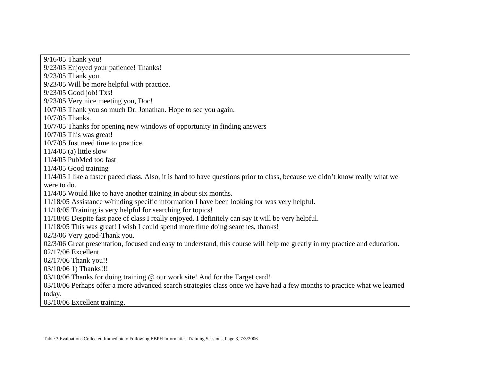9/16/05 Thank you!

9/23/05 Enjoyed your patience! Thanks!

9/23/05 Thank you.

9/23/05 Will be more helpful with practice.

9/23/05 Good job! Txs!

9/23/05 Very nice meeting you, Doc!

10/7/05 Thank you so much Dr. Jonathan. Hope to see you again.

10/7/05 Thanks.

10/7/05 Thanks for opening new windows of opportunity in finding answers

10/7/05 This was great!

10/7/05 Just need time to practice.

11/4/05 (a) little slow

11/4/05 PubMed too fast

11/4/05 Good training

11/4/05 I like a faster paced class. Also, it is hard to have questions prior to class, because we didn't know really what we were to do.

11/4/05 Would like to have another training in about six months.

11/18/05 Assistance w/finding specific information I have been looking for was very helpful.

11/18/05 Training is very helpful for searching for topics!

11/18/05 Despite fast pace of class I really enjoyed. I definitely can say it will be very helpful.

11/18/05 This was great! I wish I could spend more time doing searches, thanks!

02/3/06 Very good-Thank you.

02/3/06 Great presentation, focused and easy to understand, this course will help me greatly in my practice and education.

02/17/06 Excellent

02/17/06 Thank you!!

03/10/06 1) Thanks!!!

03/10/06 Thanks for doing training @ our work site! And for the Target card!

03/10/06 Perhaps offer a more advanced search strategies class once we have had a few months to practice what we learned today.

03/10/06 Excellent training.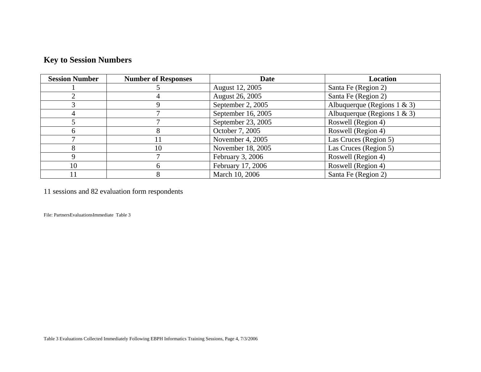| <b>Session Number</b> | <b>Number of Responses</b> | <b>Date</b>                            | Location                        |  |
|-----------------------|----------------------------|----------------------------------------|---------------------------------|--|
|                       |                            | August 12, 2005                        | Santa Fe (Region 2)             |  |
|                       |                            | August 26, 2005<br>Santa Fe (Region 2) |                                 |  |
|                       |                            | September 2, 2005                      | Albuquerque (Regions $1 \& 3$ ) |  |
|                       |                            | September 16, 2005                     | Albuquerque (Regions $1 \& 3$ ) |  |
|                       |                            | September 23, 2005                     | Roswell (Region 4)              |  |
|                       |                            | October 7, 2005                        | Roswell (Region 4)              |  |
|                       |                            | November 4, 2005                       | Las Cruces (Region 5)           |  |
| ⋀                     | 10                         | November 18, 2005                      | Las Cruces (Region 5)           |  |
|                       |                            | February 3, 2006                       | Roswell (Region 4)              |  |
| 10                    |                            | February 17, 2006                      | Roswell (Region 4)              |  |
| 11                    |                            | March 10, 2006                         | Santa Fe (Region 2)             |  |

11 sessions and 82 evaluation form respondents

File: PartnersEvaluationsImmediate Table 3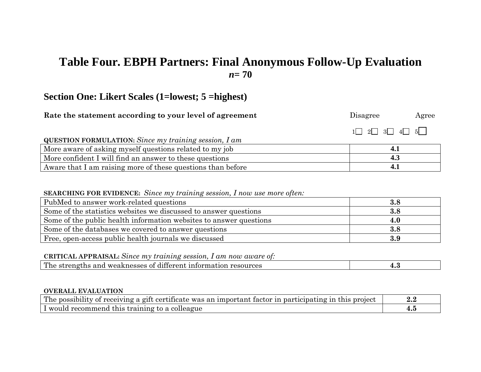## **Table Four. EBPH Partners: Final Anonymous Follow-Up Evaluation**  *n***= 70**

## **Section One: Likert Scales (1=lowest; 5 =highest)**

| Rate the statement according to your level of agreement      | Disagree                                                    | Agree |
|--------------------------------------------------------------|-------------------------------------------------------------|-------|
|                                                              | $1 \square$ $2 \square$ $3 \square$ $4 \square$ $5 \square$ |       |
| <b>QUESTION FORMULATION:</b> Since my training session, I am |                                                             |       |
| More aware of asking myself questions related to my job      | 4.                                                          |       |
| More confident I will find an answer to these questions      | 4.3                                                         |       |

Aware that I am raising more of these questions than before **4.1** 

#### **SEARCHING FOR EVIDENCE:** *Since my training session, I now use more often:*

| PubMed to answer work-related questions                            | $3.8\,$ |
|--------------------------------------------------------------------|---------|
| Some of the statistics websites we discussed to answer questions   | 3.8     |
| Some of the public health information websites to answer questions | 4.0     |
| Some of the databases we covered to answer questions               | $3.8\,$ |
| Free, open-access public health journals we discussed              | 3.9     |

#### **CRITICAL APPRAISAL:** *Since my training session, I am now aware of:*

| $\sim$ $\sim$ $\sim$<br>resources<br>$\sim$<br>. weaknesses<br>max<br>---<br>and<br>- OT<br>. ທົດ<br>.nation.<br><u>ти</u> .<br>$\cdots$<br>. .<br>.<br>. 61 16<br>,,,,,,,<br>.<br>x.u | The<br>$\alpha$ |  |
|----------------------------------------------------------------------------------------------------------------------------------------------------------------------------------------|-----------------|--|
|----------------------------------------------------------------------------------------------------------------------------------------------------------------------------------------|-----------------|--|

#### **OVERALL EVALUATION**

| The possibility of receiving a gift certificate was an important factor in participating in this project |  |
|----------------------------------------------------------------------------------------------------------|--|
| I would recommend this training to a colleague                                                           |  |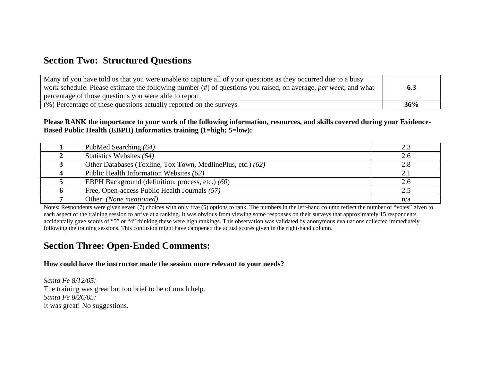## **Section Two: Structured Questions**

| Many of you have told us that you were unable to capture all of your questions as they occurred due to a busy<br>work schedule. Please estimate the following number (#) of questions you raised, on average, per week, and what | 6.3 |
|----------------------------------------------------------------------------------------------------------------------------------------------------------------------------------------------------------------------------------|-----|
| percentage of those questions you were able to report.                                                                                                                                                                           |     |
| $\vert$ (%) Percentage of these questions actually reported on the surveys                                                                                                                                                       | 36% |

**Please RANK the importance to your work of the following information, resources, and skills covered during your Evidence-Based Public Health (EBPH) Informatics training (1=high; 5=low):** 

| PubMed Searching (64)                                       | 2.3 |
|-------------------------------------------------------------|-----|
| Statistics Websites (64)                                    | 2.6 |
| Other Databases (Toxline, Tox Town, MedlinePlus, etc.) (62) | 2.8 |
| Public Health Information Websites (62)                     | 2.1 |
| EBPH Background (definition, process, etc.) (60)            | 2.6 |
| Free, Open-access Public Health Journals (57)               | 2.5 |
| Other: (None mentioned)                                     | n/a |

Notes: Respondents were given seven (7) choices with only five (5) options to rank. The numbers in the left-hand column reflect the number of "votes" given to each aspect of the training session to arrive at a ranking. It was obvious from viewing some responses on their surveys that approximately 15 respondents accidentally gave scores of "5" or "4" thinking these were high rankings. This observation was validated by anonymous evaluations collected immediately following the training sessions. This confusion might have dampened the actual scores given in the right-hand column.

## **Section Three: Open-Ended Comments:**

**How could have the instructor made the session more relevant to your needs?** 

*Santa Fe 8/12/05:* The training was great but too brief to be of much help. *Santa Fe 8/26/05:* It was great! No suggestions.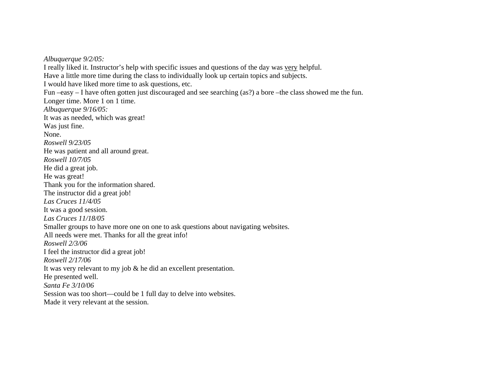*Albuquerque 9/2/05:*  I really liked it. Instructor's help with specific issues and questions of the day was very helpful. Have a little more time during the class to individually look up certain topics and subjects. I would have liked more time to ask questions, etc. Fun –easy – I have often gotten just discouraged and see searching (as?) a bore –the class showed me the fun. Longer time. More 1 on 1 time. *Albuquerque 9/16/05:*  It was as needed, which was great! Was just fine. None. *Roswell 9/23/05* He was patient and all around great. *Roswell 10/7/05* He did a great job. He was great! Thank you for the information shared. The instructor did a great job! *Las Cruces 11/4/05* It was a good session. *Las Cruces 11/18/05* Smaller groups to have more one on one to ask questions about navigating websites. All needs were met. Thanks for all the great info! *Roswell 2/3/06* I feel the instructor did a great job! *Roswell 2/17/06* It was very relevant to my job & he did an excellent presentation. He presented well. *Santa Fe 3/10/06* Session was too short—could be 1 full day to delve into websites. Made it very relevant at the session.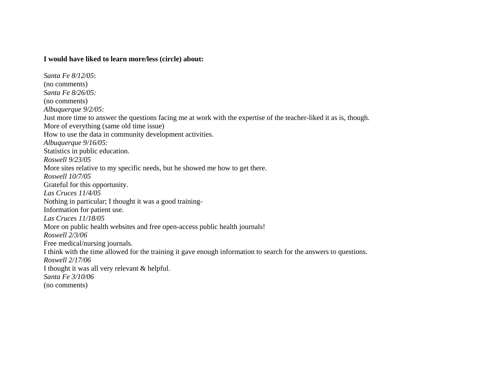#### **I would have liked to learn more/less (circle) about:**

*Santa Fe 8/12/05*: (no comments) *Santa Fe 8/26/05:* (no comments) *Albuquerque 9/2/05:*  Just more time to answer the questions facing me at work with the expertise of the teacher-liked it as is, though. More of everything (same old time issue) How to use the data in community development activities. *Albuquerque 9/16/05:*  Statistics in public education. *Roswell 9/23/05* More sites relative to my specific needs, but he showed me how to get there. *Roswell 10/7/05*  Grateful for this opportunity. *Las Cruces 11/4/05*  Nothing in particular; I thought it was a good training-Information for patient use. *Las Cruces 11/18/05* More on public health websites and free open-access public health journals! *Roswell 2/3/06* Free medical/nursing journals. I think with the time allowed for the training it gave enough information to search for the answers to questions. *Roswell 2/17/06* I thought it was all very relevant & helpful. *Santa Fe 3/10/06* (no comments)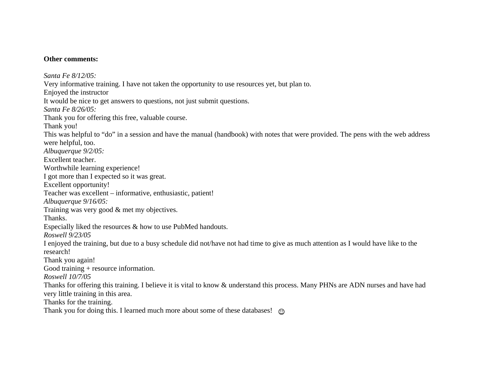#### **Other comments:**

*Santa Fe 8/12/05:* Very informative training. I have not taken the opportunity to use resources yet, but plan to. Enjoyed the instructor It would be nice to get answers to questions, not just submit questions. *Santa Fe 8/26/05:* Thank you for offering this free, valuable course. Thank you! This was helpful to "do" in a session and have the manual (handbook) with notes that were provided. The pens with the web address were helpful, too. *Albuquerque 9/2/05:*  Excellent teacher. Worthwhile learning experience! I got more than I expected so it was great. Excellent opportunity! Teacher was excellent – informative, enthusiastic, patient! *Albuquerque 9/16/05:*  Training was very good & met my objectives. Thanks. Especially liked the resources & how to use PubMed handouts. *Roswell 9/23/05* I enjoyed the training, but due to a busy schedule did not/have not had time to give as much attention as I would have like to the research! Thank you again! Good training + resource information. *Roswell 10/7/05* Thanks for offering this training. I believe it is vital to know & understand this process. Many PHNs are ADN nurses and have had very little training in this area. Thanks for the training. Thank you for doing this. I learned much more about some of these databases!  $\odot$